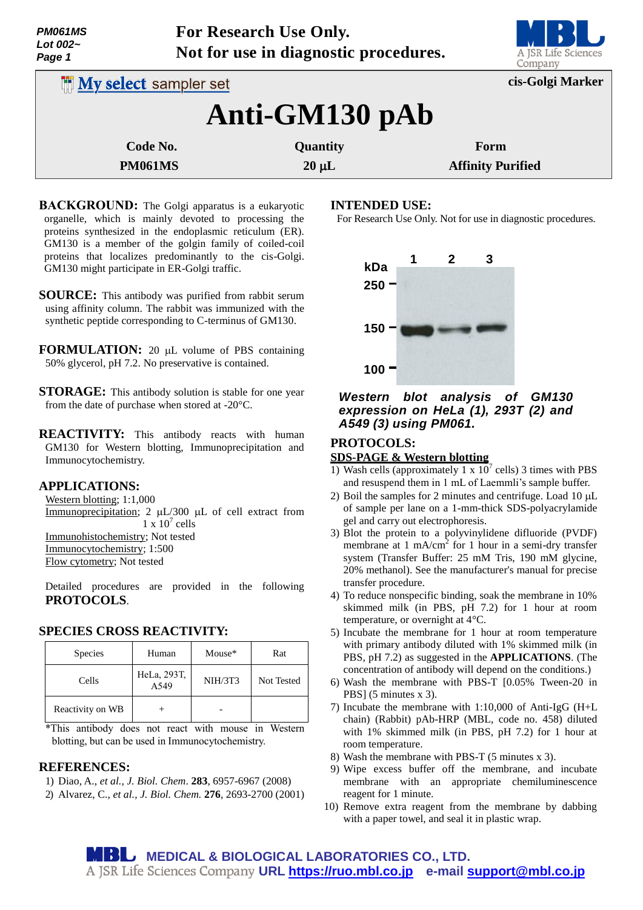| <b>PM061MS</b> |  |
|----------------|--|
| Lot 002 $\sim$ |  |
| Page 1         |  |

**For Research Use Only. Not for use in diagnostic procedures.**



| <b>INV select sampler set</b> |            | cis-Golgi Marker         |  |  |  |
|-------------------------------|------------|--------------------------|--|--|--|
| Anti-GM130 pAb                |            |                          |  |  |  |
| Code No.                      | Quantity   | Form                     |  |  |  |
| <b>PM061MS</b>                | $20 \mu L$ | <b>Affinity Purified</b> |  |  |  |

- **BACKGROUND:** The Golgi apparatus is a eukaryotic organelle, which is mainly devoted to processing the proteins synthesized in the endoplasmic reticulum (ER). GM130 is a member of the golgin family of coiled-coil proteins that localizes predominantly to the cis-Golgi. GM130 might participate in ER-Golgi traffic.
- **SOURCE:** This antibody was purified from rabbit serum using affinity column. The rabbit was immunized with the synthetic peptide corresponding to C-terminus of GM130.
- **FORMULATION:** 20 µL volume of PBS containing 50% glycerol, pH 7.2. No preservative is contained.
- **STORAGE:** This antibody solution is stable for one year from the date of purchase when stored at -20°C.
- **REACTIVITY:** This antibody reacts with human GM130 for Western blotting, Immunoprecipitation and Immunocytochemistry.

# **APPLICATIONS:**

Western blotting; 1:1,000 Immunoprecipitation;  $2 \mu L/300 \mu L$  of cell extract from  $1 \times 10^7$  cells Immunohistochemistry; Not tested Immunocytochemistry; 1:500 Flow cytometry; Not tested

Detailed procedures are provided in the following **PROTOCOLS**.

# **SPECIES CROSS REACTIVITY:**

| <b>Species</b>   | Human               | Mouse*         | Rat        |
|------------------|---------------------|----------------|------------|
| Cells            | HeLa, 293T,<br>A549 | <b>NIH/3T3</b> | Not Tested |
| Reactivity on WB |                     |                |            |

\*This antibody does not react with mouse in Western blotting, but can be used in Immunocytochemistry.

#### **REFERENCES:**

- 1) Diao, A., *et al., J. Biol. Chem*. **283**, 6957-6967 (2008)
- 2) Alvarez, C., *et al., J. Biol. Chem.* **276**, 2693-2700 (2001)

### **INTENDED USE:**

For Research Use Only. Not for use in diagnostic procedures.



### *Western blot analysis of GM130 expression on HeLa (1), 293T (2) and A549 (3) using PM061.*

# **PROTOCOLS:**

#### **SDS-PAGE & Western blotting**

- 1) Wash cells (approximately 1 x  $10^7$  cells) 3 times with PBS and resuspend them in 1 mL of Laemmli's sample buffer.
- 2) Boil the samples for 2 minutes and centrifuge. Load  $10 \mu L$ of sample per lane on a 1-mm-thick SDS-polyacrylamide gel and carry out electrophoresis.
- 3) Blot the protein to a polyvinylidene difluoride (PVDF) membrane at 1 mA/cm<sup>2</sup> for 1 hour in a semi-dry transfer system (Transfer Buffer: 25 mM Tris, 190 mM glycine, 20% methanol). See the manufacturer's manual for precise transfer procedure.
- 4) To reduce nonspecific binding, soak the membrane in 10% skimmed milk (in PBS, pH 7.2) for 1 hour at room temperature, or overnight at 4°C.
- 5) Incubate the membrane for 1 hour at room temperature with primary antibody diluted with 1% skimmed milk (in PBS, pH 7.2) as suggested in the **APPLICATIONS**. (The concentration of antibody will depend on the conditions.)
- 6) Wash the membrane with PBS-T [0.05% Tween-20 in PBS] (5 minutes x 3).
- 7) Incubate the membrane with 1:10,000 of Anti-IgG (H+L chain) (Rabbit) pAb-HRP (MBL, code no. 458) diluted with 1% skimmed milk (in PBS, pH 7.2) for 1 hour at room temperature.
- 8) Wash the membrane with PBS-T (5 minutes x 3).
- 9) Wipe excess buffer off the membrane, and incubate membrane with an appropriate chemiluminescence reagent for 1 minute.
- 10) Remove extra reagent from the membrane by dabbing with a paper towel, and seal it in plastic wrap.